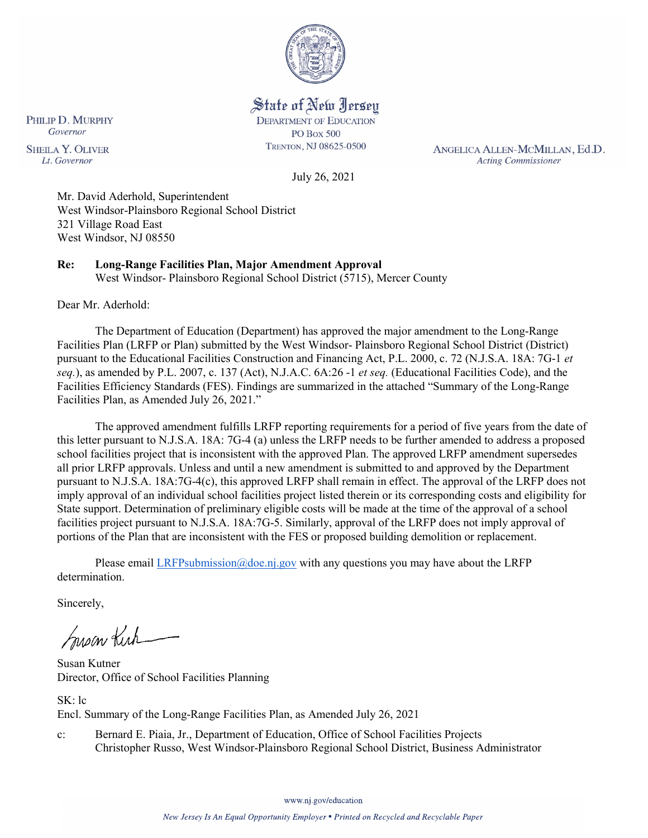

State of New Jersey **DEPARTMENT OF EDUCATION** 

> **PO Box 500** TRENTON, NJ 08625-0500

ANGELICA ALLEN-MCMILLAN, Ed.D. **Acting Commissioner** 

July 26, 2021

Mr. David Aderhold, Superintendent West Windsor-Plainsboro Regional School District 321 Village Road East West Windsor, NJ 08550

**Re: Long-Range Facilities Plan, Major Amendment Approval**  West Windsor- Plainsboro Regional School District (5715), Mercer County

Dear Mr. Aderhold:

PHILIP D. MURPHY Governor

**SHEILA Y. OLIVER** 

Lt. Governor

The Department of Education (Department) has approved the major amendment to the Long-Range Facilities Plan (LRFP or Plan) submitted by the West Windsor- Plainsboro Regional School District (District) pursuant to the Educational Facilities Construction and Financing Act, P.L. 2000, c. 72 (N.J.S.A. 18A: 7G-1 *et seq.*), as amended by P.L. 2007, c. 137 (Act), N.J.A.C. 6A:26 -1 *et seq.* (Educational Facilities Code), and the Facilities Efficiency Standards (FES). Findings are summarized in the attached "Summary of the Long-Range Facilities Plan, as Amended July 26, 2021."

The approved amendment fulfills LRFP reporting requirements for a period of five years from the date of this letter pursuant to N.J.S.A. 18A: 7G-4 (a) unless the LRFP needs to be further amended to address a proposed school facilities project that is inconsistent with the approved Plan. The approved LRFP amendment supersedes all prior LRFP approvals. Unless and until a new amendment is submitted to and approved by the Department pursuant to N.J.S.A. 18A:7G-4(c), this approved LRFP shall remain in effect. The approval of the LRFP does not imply approval of an individual school facilities project listed therein or its corresponding costs and eligibility for State support. Determination of preliminary eligible costs will be made at the time of the approval of a school facilities project pursuant to N.J.S.A. 18A:7G-5. Similarly, approval of the LRFP does not imply approval of portions of the Plan that are inconsistent with the FES or proposed building demolition or replacement.

Please email [LRFPsubmission@doe.nj.gov](mailto:LRFPsubmission@doe.nj.gov) with any questions you may have about the LRFP determination.

Sincerely,

Susan Kich

Susan Kutner Director, Office of School Facilities Planning

SK: lc Encl. Summary of the Long-Range Facilities Plan, as Amended July 26, 2021

c: Bernard E. Piaia, Jr., Department of Education, Office of School Facilities Projects Christopher Russo, West Windsor-Plainsboro Regional School District, Business Administrator

www.nj.gov/education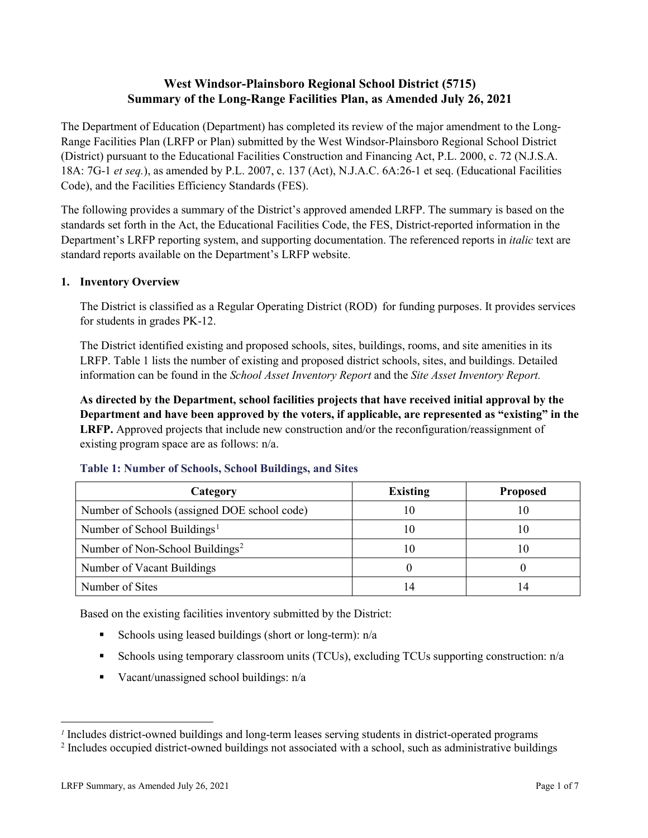# **West Windsor-Plainsboro Regional School District (5715) Summary of the Long-Range Facilities Plan, as Amended July 26, 2021**

The Department of Education (Department) has completed its review of the major amendment to the Long-Range Facilities Plan (LRFP or Plan) submitted by the West Windsor-Plainsboro Regional School District (District) pursuant to the Educational Facilities Construction and Financing Act, P.L. 2000, c. 72 (N.J.S.A. 18A: 7G-1 *et seq.*), as amended by P.L. 2007, c. 137 (Act), N.J.A.C. 6A:26-1 et seq. (Educational Facilities Code), and the Facilities Efficiency Standards (FES).

The following provides a summary of the District's approved amended LRFP. The summary is based on the standards set forth in the Act, the Educational Facilities Code, the FES, District-reported information in the Department's LRFP reporting system, and supporting documentation. The referenced reports in *italic* text are standard reports available on the Department's LRFP website.

# **1. Inventory Overview**

The District is classified as a Regular Operating District (ROD) for funding purposes. It provides services for students in grades PK-12.

The District identified existing and proposed schools, sites, buildings, rooms, and site amenities in its LRFP. Table 1 lists the number of existing and proposed district schools, sites, and buildings. Detailed information can be found in the *School Asset Inventory Report* and the *Site Asset Inventory Report.*

**As directed by the Department, school facilities projects that have received initial approval by the Department and have been approved by the voters, if applicable, are represented as "existing" in the LRFP.** Approved projects that include new construction and/or the reconfiguration/reassignment of existing program space are as follows: n/a.

| Category                                     | <b>Existing</b> | <b>Proposed</b> |
|----------------------------------------------|-----------------|-----------------|
| Number of Schools (assigned DOE school code) |                 | 10              |
| Number of School Buildings <sup>1</sup>      |                 | 10              |
| Number of Non-School Buildings <sup>2</sup>  |                 | 10              |
| Number of Vacant Buildings                   |                 |                 |
| Number of Sites                              |                 |                 |

### **Table 1: Number of Schools, School Buildings, and Sites**

Based on the existing facilities inventory submitted by the District:

- Schools using leased buildings (short or long-term):  $n/a$
- Schools using temporary classroom units (TCUs), excluding TCUs supporting construction: n/a
- Vacant/unassigned school buildings:  $n/a$

 $\overline{a}$ 

<span id="page-1-1"></span><span id="page-1-0"></span>*<sup>1</sup>* Includes district-owned buildings and long-term leases serving students in district-operated programs

<sup>&</sup>lt;sup>2</sup> Includes occupied district-owned buildings not associated with a school, such as administrative buildings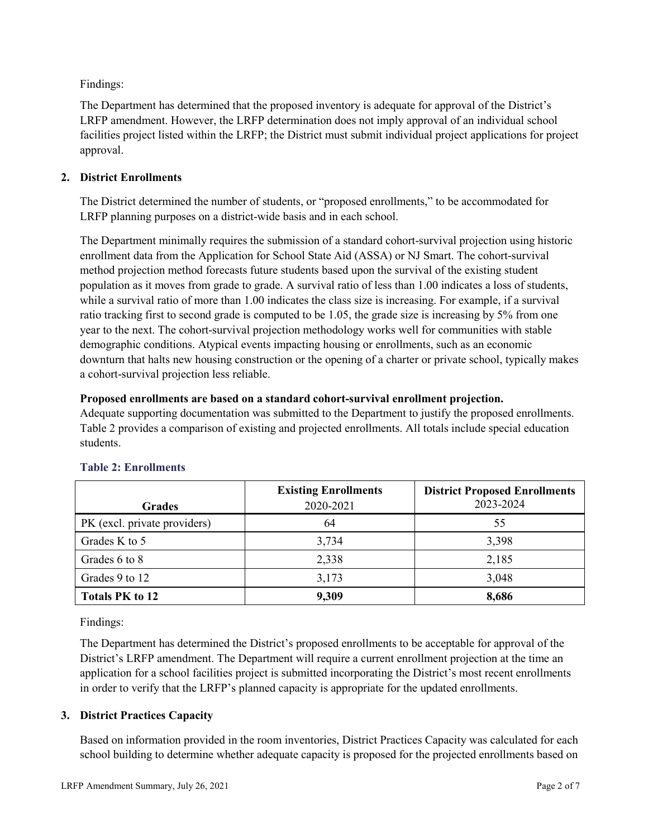Findings:

The Department has determined that the proposed inventory is adequate for approval of the District's LRFP amendment. However, the LRFP determination does not imply approval of an individual school facilities project listed within the LRFP; the District must submit individual project applications for project approval.

# **2. District Enrollments**

The District determined the number of students, or "proposed enrollments," to be accommodated for LRFP planning purposes on a district-wide basis and in each school.

The Department minimally requires the submission of a standard cohort-survival projection using historic enrollment data from the Application for School State Aid (ASSA) or NJ Smart. The cohort-survival method projection method forecasts future students based upon the survival of the existing student population as it moves from grade to grade. A survival ratio of less than 1.00 indicates a loss of students, while a survival ratio of more than 1.00 indicates the class size is increasing. For example, if a survival ratio tracking first to second grade is computed to be 1.05, the grade size is increasing by 5% from one year to the next. The cohort-survival projection methodology works well for communities with stable demographic conditions. Atypical events impacting housing or enrollments, such as an economic downturn that halts new housing construction or the opening of a charter or private school, typically makes a cohort-survival projection less reliable.

## **Proposed enrollments are based on a standard cohort-survival enrollment projection.**

Adequate supporting documentation was submitted to the Department to justify the proposed enrollments. Table 2 provides a comparison of existing and projected enrollments. All totals include special education students.

|                              | <b>Existing Enrollments</b> | <b>District Proposed Enrollments</b> |
|------------------------------|-----------------------------|--------------------------------------|
| <b>Grades</b>                | 2020-2021                   | 2023-2024                            |
| PK (excl. private providers) | 64                          | 55                                   |
| Grades K to 5                | 3,734                       | 3,398                                |
| Grades 6 to 8                | 2,338                       | 2,185                                |
| Grades 9 to 12               | 3,173                       | 3,048                                |
| <b>Totals PK to 12</b>       | 9,309                       | 8,686                                |

# **Table 2: Enrollments**

Findings:

The Department has determined the District's proposed enrollments to be acceptable for approval of the District's LRFP amendment. The Department will require a current enrollment projection at the time an application for a school facilities project is submitted incorporating the District's most recent enrollments in order to verify that the LRFP's planned capacity is appropriate for the updated enrollments.

# **3. District Practices Capacity**

Based on information provided in the room inventories, District Practices Capacity was calculated for each school building to determine whether adequate capacity is proposed for the projected enrollments based on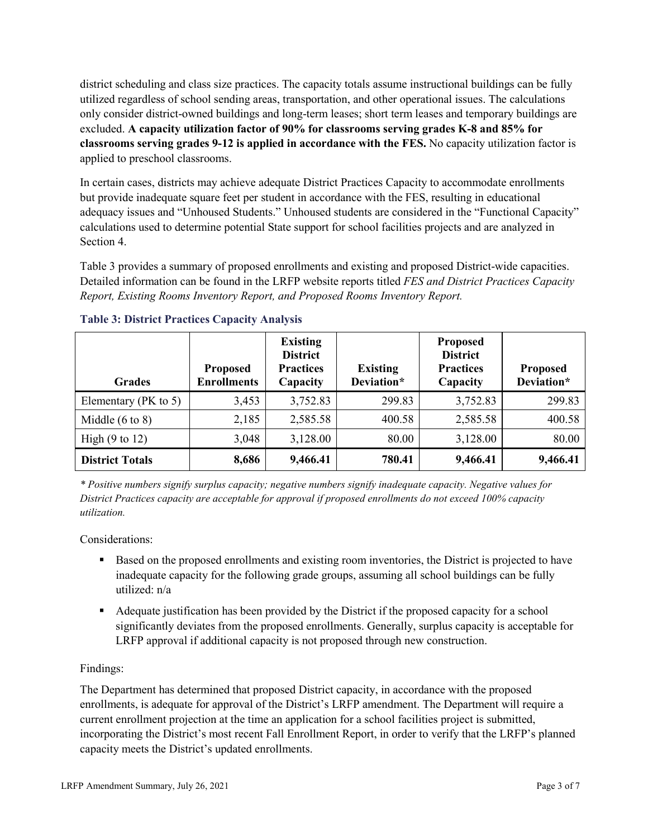district scheduling and class size practices. The capacity totals assume instructional buildings can be fully utilized regardless of school sending areas, transportation, and other operational issues. The calculations only consider district-owned buildings and long-term leases; short term leases and temporary buildings are excluded. **A capacity utilization factor of 90% for classrooms serving grades K-8 and 85% for classrooms serving grades 9-12 is applied in accordance with the FES.** No capacity utilization factor is applied to preschool classrooms.

In certain cases, districts may achieve adequate District Practices Capacity to accommodate enrollments but provide inadequate square feet per student in accordance with the FES, resulting in educational adequacy issues and "Unhoused Students." Unhoused students are considered in the "Functional Capacity" calculations used to determine potential State support for school facilities projects and are analyzed in Section 4.

Table 3 provides a summary of proposed enrollments and existing and proposed District-wide capacities. Detailed information can be found in the LRFP website reports titled *FES and District Practices Capacity Report, Existing Rooms Inventory Report, and Proposed Rooms Inventory Report.*

| <b>Grades</b>              | <b>Proposed</b><br><b>Enrollments</b> | <b>Existing</b><br><b>District</b><br><b>Practices</b><br>Capacity | <b>Existing</b><br>Deviation* | <b>Proposed</b><br><b>District</b><br><b>Practices</b><br>Capacity | <b>Proposed</b><br>Deviation* |
|----------------------------|---------------------------------------|--------------------------------------------------------------------|-------------------------------|--------------------------------------------------------------------|-------------------------------|
| Elementary (PK to 5)       | 3,453                                 | 3,752.83                                                           | 299.83                        | 3,752.83                                                           | 299.83                        |
| Middle $(6 \text{ to } 8)$ | 2,185                                 | 2,585.58                                                           | 400.58                        | 2,585.58                                                           | 400.58                        |
| High $(9 \text{ to } 12)$  | 3,048                                 | 3,128.00                                                           | 80.00                         | 3,128.00                                                           | 80.00                         |
| <b>District Totals</b>     | 8,686                                 | 9,466.41                                                           | 780.41                        | 9,466.41                                                           | 9,466.41                      |

# **Table 3: District Practices Capacity Analysis**

*\* Positive numbers signify surplus capacity; negative numbers signify inadequate capacity. Negative values for District Practices capacity are acceptable for approval if proposed enrollments do not exceed 100% capacity utilization.*

Considerations:

- Based on the proposed enrollments and existing room inventories, the District is projected to have inadequate capacity for the following grade groups, assuming all school buildings can be fully utilized: n/a
- Adequate justification has been provided by the District if the proposed capacity for a school significantly deviates from the proposed enrollments. Generally, surplus capacity is acceptable for LRFP approval if additional capacity is not proposed through new construction.

# Findings:

The Department has determined that proposed District capacity, in accordance with the proposed enrollments, is adequate for approval of the District's LRFP amendment. The Department will require a current enrollment projection at the time an application for a school facilities project is submitted, incorporating the District's most recent Fall Enrollment Report, in order to verify that the LRFP's planned capacity meets the District's updated enrollments.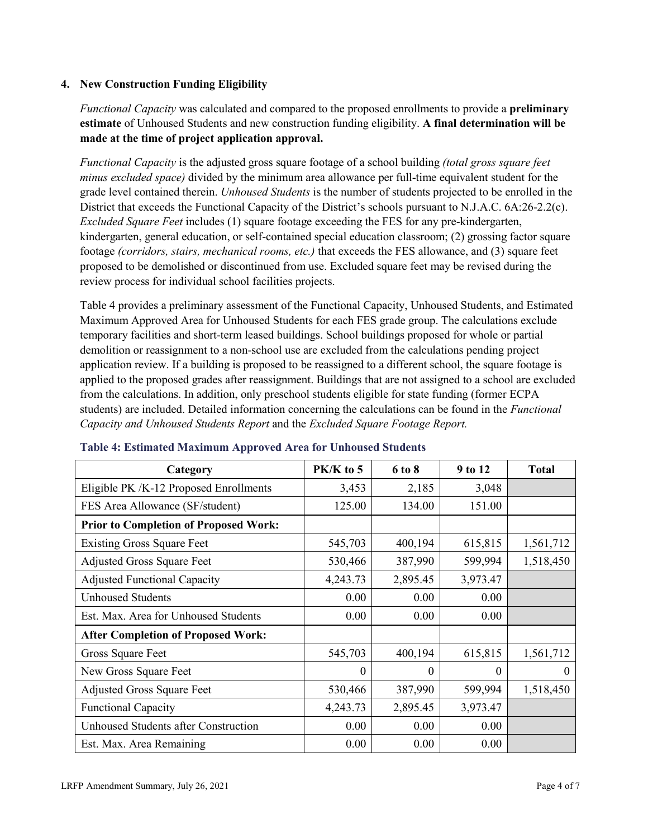# **4. New Construction Funding Eligibility**

*Functional Capacity* was calculated and compared to the proposed enrollments to provide a **preliminary estimate** of Unhoused Students and new construction funding eligibility. **A final determination will be made at the time of project application approval.**

*Functional Capacity* is the adjusted gross square footage of a school building *(total gross square feet minus excluded space)* divided by the minimum area allowance per full-time equivalent student for the grade level contained therein. *Unhoused Students* is the number of students projected to be enrolled in the District that exceeds the Functional Capacity of the District's schools pursuant to N.J.A.C. 6A:26-2.2(c). *Excluded Square Feet* includes (1) square footage exceeding the FES for any pre-kindergarten, kindergarten, general education, or self-contained special education classroom; (2) grossing factor square footage *(corridors, stairs, mechanical rooms, etc.)* that exceeds the FES allowance, and (3) square feet proposed to be demolished or discontinued from use. Excluded square feet may be revised during the review process for individual school facilities projects.

Table 4 provides a preliminary assessment of the Functional Capacity, Unhoused Students, and Estimated Maximum Approved Area for Unhoused Students for each FES grade group. The calculations exclude temporary facilities and short-term leased buildings. School buildings proposed for whole or partial demolition or reassignment to a non-school use are excluded from the calculations pending project application review. If a building is proposed to be reassigned to a different school, the square footage is applied to the proposed grades after reassignment. Buildings that are not assigned to a school are excluded from the calculations. In addition, only preschool students eligible for state funding (former ECPA students) are included. Detailed information concerning the calculations can be found in the *Functional Capacity and Unhoused Students Report* and the *Excluded Square Footage Report.*

| Category                                     | $PK/K$ to 5 | 6 to 8   | 9 to 12  | <b>Total</b> |
|----------------------------------------------|-------------|----------|----------|--------------|
| Eligible PK /K-12 Proposed Enrollments       | 3,453       | 2,185    | 3,048    |              |
| FES Area Allowance (SF/student)              | 125.00      | 134.00   | 151.00   |              |
| <b>Prior to Completion of Proposed Work:</b> |             |          |          |              |
| <b>Existing Gross Square Feet</b>            | 545,703     | 400,194  | 615,815  | 1,561,712    |
| <b>Adjusted Gross Square Feet</b>            | 530,466     | 387,990  | 599,994  | 1,518,450    |
| <b>Adjusted Functional Capacity</b>          | 4,243.73    | 2,895.45 | 3,973.47 |              |
| <b>Unhoused Students</b>                     | 0.00        | 0.00     | 0.00     |              |
| Est. Max. Area for Unhoused Students         | 0.00        | 0.00     | 0.00     |              |
| <b>After Completion of Proposed Work:</b>    |             |          |          |              |
| Gross Square Feet                            | 545,703     | 400,194  | 615,815  | 1,561,712    |
| New Gross Square Feet                        | $\theta$    | $\Omega$ | $\theta$ | $\Omega$     |
| <b>Adjusted Gross Square Feet</b>            | 530,466     | 387,990  | 599,994  | 1,518,450    |
| <b>Functional Capacity</b>                   | 4,243.73    | 2,895.45 | 3,973.47 |              |
| Unhoused Students after Construction         | 0.00        | 0.00     | 0.00     |              |
| Est. Max. Area Remaining                     | 0.00        | 0.00     | 0.00     |              |

### **Table 4: Estimated Maximum Approved Area for Unhoused Students**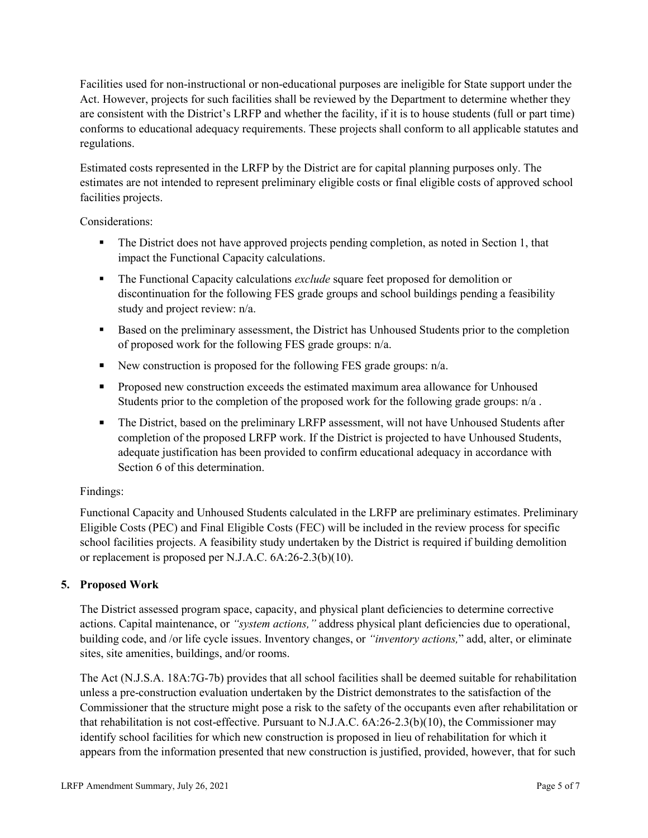Facilities used for non-instructional or non-educational purposes are ineligible for State support under the Act. However, projects for such facilities shall be reviewed by the Department to determine whether they are consistent with the District's LRFP and whether the facility, if it is to house students (full or part time) conforms to educational adequacy requirements. These projects shall conform to all applicable statutes and regulations.

Estimated costs represented in the LRFP by the District are for capital planning purposes only. The estimates are not intended to represent preliminary eligible costs or final eligible costs of approved school facilities projects.

Considerations:

- The District does not have approved projects pending completion, as noted in Section 1, that impact the Functional Capacity calculations.
- **The Functional Capacity calculations** *exclude* square feet proposed for demolition or discontinuation for the following FES grade groups and school buildings pending a feasibility study and project review: n/a.
- Based on the preliminary assessment, the District has Unhoused Students prior to the completion of proposed work for the following FES grade groups: n/a.
- New construction is proposed for the following FES grade groups: n/a.
- Proposed new construction exceeds the estimated maximum area allowance for Unhoused Students prior to the completion of the proposed work for the following grade groups: n/a.
- The District, based on the preliminary LRFP assessment, will not have Unhoused Students after completion of the proposed LRFP work. If the District is projected to have Unhoused Students, adequate justification has been provided to confirm educational adequacy in accordance with Section 6 of this determination.

# Findings:

Functional Capacity and Unhoused Students calculated in the LRFP are preliminary estimates. Preliminary Eligible Costs (PEC) and Final Eligible Costs (FEC) will be included in the review process for specific school facilities projects. A feasibility study undertaken by the District is required if building demolition or replacement is proposed per N.J.A.C. 6A:26-2.3(b)(10).

# **5. Proposed Work**

The District assessed program space, capacity, and physical plant deficiencies to determine corrective actions. Capital maintenance, or *"system actions,"* address physical plant deficiencies due to operational, building code, and /or life cycle issues. Inventory changes, or *"inventory actions,*" add, alter, or eliminate sites, site amenities, buildings, and/or rooms.

The Act (N.J.S.A. 18A:7G-7b) provides that all school facilities shall be deemed suitable for rehabilitation unless a pre-construction evaluation undertaken by the District demonstrates to the satisfaction of the Commissioner that the structure might pose a risk to the safety of the occupants even after rehabilitation or that rehabilitation is not cost-effective. Pursuant to N.J.A.C. 6A:26-2.3(b)(10), the Commissioner may identify school facilities for which new construction is proposed in lieu of rehabilitation for which it appears from the information presented that new construction is justified, provided, however, that for such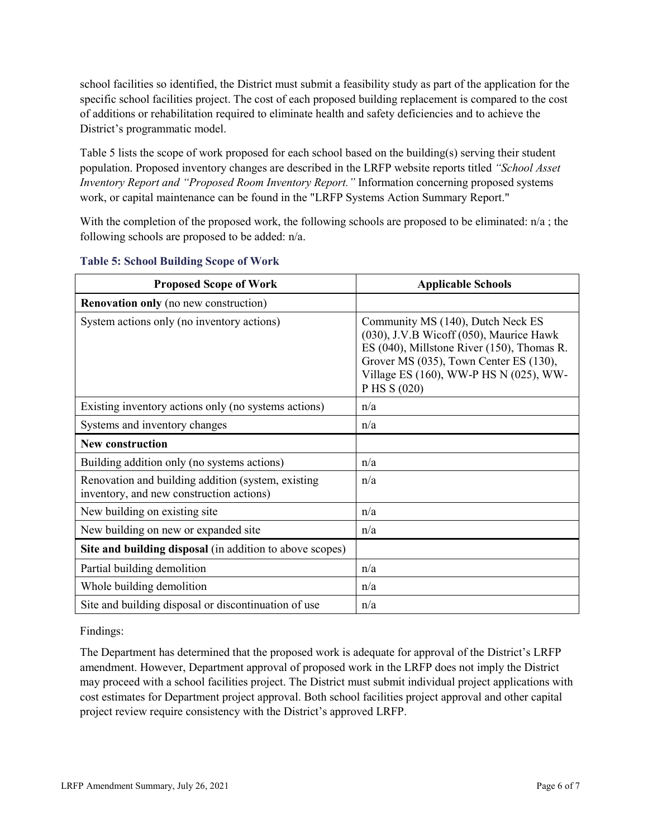school facilities so identified, the District must submit a feasibility study as part of the application for the specific school facilities project. The cost of each proposed building replacement is compared to the cost of additions or rehabilitation required to eliminate health and safety deficiencies and to achieve the District's programmatic model.

Table 5 lists the scope of work proposed for each school based on the building(s) serving their student population. Proposed inventory changes are described in the LRFP website reports titled *"School Asset Inventory Report and "Proposed Room Inventory Report."* Information concerning proposed systems work, or capital maintenance can be found in the "LRFP Systems Action Summary Report."

With the completion of the proposed work, the following schools are proposed to be eliminated:  $n/a$ ; the following schools are proposed to be added: n/a.

| <b>Proposed Scope of Work</b>                                                                  | <b>Applicable Schools</b>                                                                                                                                                                                                      |
|------------------------------------------------------------------------------------------------|--------------------------------------------------------------------------------------------------------------------------------------------------------------------------------------------------------------------------------|
| <b>Renovation only</b> (no new construction)                                                   |                                                                                                                                                                                                                                |
| System actions only (no inventory actions)                                                     | Community MS (140), Dutch Neck ES<br>(030), J.V.B Wicoff (050), Maurice Hawk<br>ES (040), Millstone River (150), Thomas R.<br>Grover MS (035), Town Center ES (130),<br>Village ES (160), WW-P HS N (025), WW-<br>P HS S (020) |
| Existing inventory actions only (no systems actions)                                           | n/a                                                                                                                                                                                                                            |
| Systems and inventory changes                                                                  | n/a                                                                                                                                                                                                                            |
| <b>New construction</b>                                                                        |                                                                                                                                                                                                                                |
| Building addition only (no systems actions)                                                    | n/a                                                                                                                                                                                                                            |
| Renovation and building addition (system, existing<br>inventory, and new construction actions) | n/a                                                                                                                                                                                                                            |
| New building on existing site                                                                  | n/a                                                                                                                                                                                                                            |
| New building on new or expanded site                                                           | n/a                                                                                                                                                                                                                            |
| Site and building disposal (in addition to above scopes)                                       |                                                                                                                                                                                                                                |
| Partial building demolition                                                                    | n/a                                                                                                                                                                                                                            |
| Whole building demolition                                                                      | n/a                                                                                                                                                                                                                            |
| Site and building disposal or discontinuation of use                                           | n/a                                                                                                                                                                                                                            |

### **Table 5: School Building Scope of Work**

Findings:

The Department has determined that the proposed work is adequate for approval of the District's LRFP amendment. However, Department approval of proposed work in the LRFP does not imply the District may proceed with a school facilities project. The District must submit individual project applications with cost estimates for Department project approval. Both school facilities project approval and other capital project review require consistency with the District's approved LRFP.